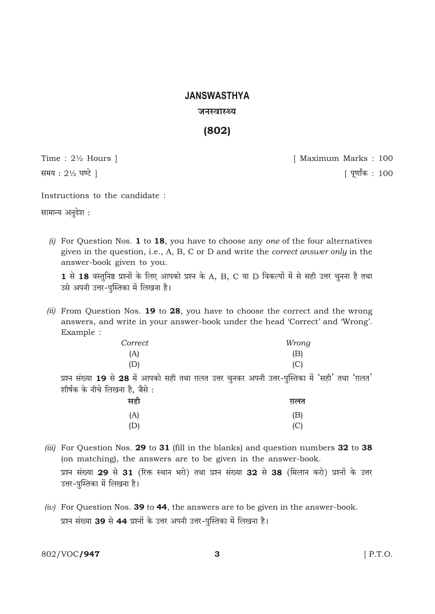# **JANSWASTHYA**

#### जनस्वास्थ्य

 $(802)$ 

Time:  $2\frac{1}{2}$  Hours | समय: 21/2 घण्टे |

[ Maximum Marks: 100 [ पूर्णांक : 100

Instructions to the candidate :

सामान्य अनुदेश:

(i) For Question Nos. 1 to 18, you have to choose any one of the four alternatives given in the question, i.e., A, B, C or D and write the *correct answer only* in the answer-book given to you.

1 से 18 वस्तुनिष्ठ प्रश्नों के लिए आपको प्रश्न के A, B, C या D विकल्पों में से सही उत्तर चुनना है तथा उसे अपनी उत्तर-पुस्तिका में लिखना है।

(ii) From Question Nos. 19 to 28, you have to choose the correct and the wrong answers, and write in your answer-book under the head 'Correct' and 'Wrong'. Example :

| Correct | Wrong                                                            |
|---------|------------------------------------------------------------------|
| (A)     | (B)                                                              |
| (D)     |                                                                  |
|         | 28 में आपको सही तथा ग़लत उत्तर चनकर अपनी उत्तर-पस्तिका में 'सही' |

प्रश्न संख्या 19 से तथा 'ग़लत' ् पुन शीर्षक के नीचे लिखना है. जैसे:

| सही | ग़लत |
|-----|------|
| (A) | (B)  |
| (D) | (C)  |

- *(iii)* For Question Nos. 29 to 31 (fill in the blanks) and question numbers 32 to 38 (on matching), the answers are to be given in the answer-book. प्रश्न संख्या 29 से 31 (रिक्त स्थान भरो) तथा प्रश्न संख्या 32 से 38 (मिलान करो) प्रश्नों के उत्तर उत्तर-पुस्तिका में लिखना है।
- (iv) For Question Nos. 39 to 44, the answers are to be given in the answer-book. प्रश्न संख्या 39 से 44 प्रश्नों के उत्तर अपनी उत्तर-पुस्तिका में लिखना है।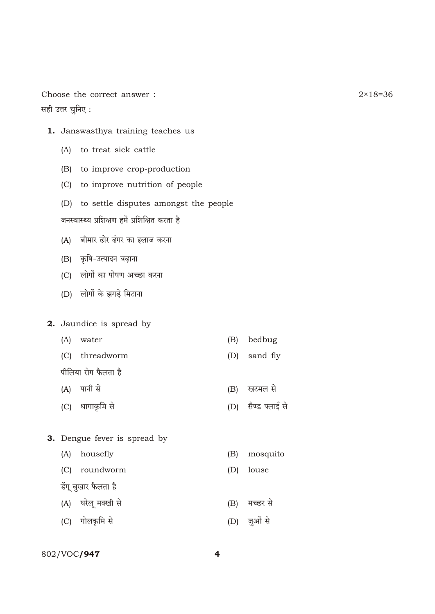Choose the correct answer: सही उत्तर चुनिए:

- 1. Janswasthya training teaches us
	- (A) to treat sick cattle
	- (B) to improve crop-production
	- (C) to improve nutrition of people
	- (D) to settle disputes amongst the people

जनस्वास्थ्य प्रशिक्षण हमें प्रशिक्षित करता है

- (A) बीमार ढोर ढंगर का इलाज करना
- (B) कृषि-उत्पादन बढ़ाना
- (C) लोगों का पोषण अच्छा करना
- (D) लोगों के झगड़े मिटाना
- 2. Jaundice is spread by
	- (A) water
	- (C) threadworm
	- पीलिया रोग फैलता है
	- (A) पानी से
	- (C) धागाकृमि से
- $(B)$ bedbug
- sand fly  $(D)$
- (B) खटमल से

 $(B)$ 

 $(D)$ 

(D) सैण्ड फ्लाई से

mosquito

louse

- 3. Dengue fever is spread by
	- (A) housefly
	- (C) roundworm
	- डेंगू बुखार फैलता है
	- (A) घरेलू मक्खी से (B) मच्छर से
	- (C) गोलकृमि से (D) जुओं से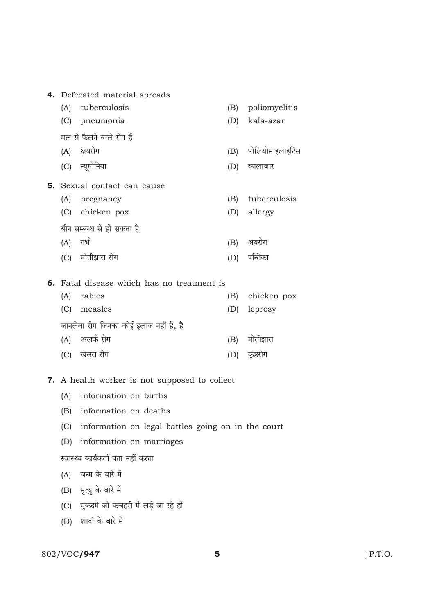|                                        | 4. Defecated material spreads              |     |                 |
|----------------------------------------|--------------------------------------------|-----|-----------------|
| (A)                                    | tuberculosis                               | (B) | poliomyelitis   |
| (C)                                    | pneumonia                                  | (D) | kala-azar       |
|                                        | मल से फैलने वाले रोग हैं                   |     |                 |
|                                        | (A) क्षयरोग                                | (B) | पोलियोमाइलाइटिस |
|                                        | (C) न्यूमोनिया                             | (D) | कालाज़ार        |
|                                        | <b>5.</b> Sexual contact can cause         |     |                 |
|                                        | (A) pregnancy                              | (B) | tuberculosis    |
|                                        | (C) chicken pox                            | (D) | allergy         |
|                                        | यौन सम्बन्ध से हो सकता है                  |     |                 |
| $(A)$ गर्भ                             |                                            |     | (B) क्षयरोग     |
|                                        | (C) मोतीझारा रोग                           |     | (D) पन्तिका     |
|                                        | 6. Fatal disease which has no treatment is |     |                 |
| (A)                                    | rabies                                     | (B) | chicken pox     |
| (C)                                    | measles                                    | (D) | leprosy         |
| जानलेवा रोग जिनका कोई इलाज नहीं है, है |                                            |     |                 |
|                                        |                                            |     | $\sim$ $\sim$   |

- (A) अलर्क रोग (B) मोतीझारा (C) खसरा रोग (D) कुष्ठरोग
- 7. A health worker is not supposed to collect
	- (A) information on births
	- (B) information on deaths
	- (C) information on legal battles going on in the court
	- (D) information on marriages

स्वास्थ्य कार्यकर्ता पता नहीं करता

- (A) जन्म के बारे में
- (B) मृत्यु के बारे में
- (C) मुकदमे जो कचहरी में लड़े जा रहे हों
- (D) शादी के बारे में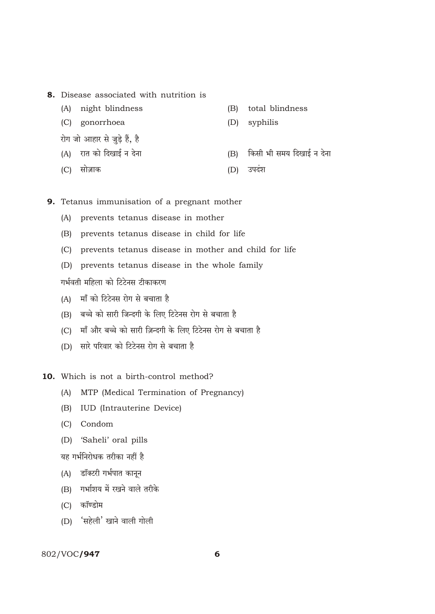- 8. Disease associated with nutrition is
	- (A) night blindness
	- (C) gonorrhoea
	- रोग जो आहार से जुड़े हैं, है
	- (A) रात को दिखाई न देना
	- (C) सोज़ाक
- (B) total blindness
- (D) syphilis
- (B) किसी भी समय दिखाई न देना
- (D) उपदंश
- 9. Tetanus immunisation of a pregnant mother
	- (A) prevents tetanus disease in mother
	- (B) prevents tetanus disease in child for life
	- (C) prevents tetanus disease in mother and child for life
	- (D) prevents tetanus disease in the whole family

गर्भवती महिला को टिटेनस टीकाकरण

- (A) माँ को टिटेनस रोग से बचाता है
- (B) बच्चे को सारी जिन्दगी के लिए टिटेनस रोग से बचाता है
- (C) माँ और बच्चे को सारी ज़िन्दगी के लिए टिटेनस रोग से बचाता है
- (D) सारे परिवार को टिटेनस रोग से बचाता है

10. Which is not a birth-control method?

- (A) MTP (Medical Termination of Pregnancy)
- (B) IUD (Intrauterine Device)
- (C) Condom
- (D) 'Saheli' oral pills

यह गर्भनिरोधक तरीका नहीं है

- (A) डॉक्टरी गर्भपात कानून
- (B) गर्भाशय में रखने वाले तरीके
- (C) कॉण्डोम
- (D) 'सहेली' खाने वाली गोली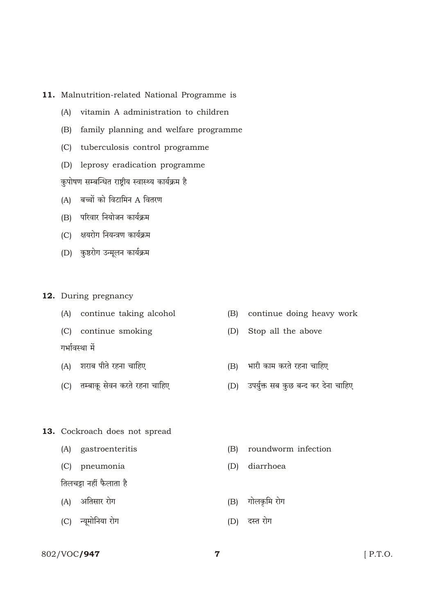## 11. Malnutrition-related National Programme is

- (A) vitamin A administration to children
- (B) family planning and welfare programme
- (C) tuberculosis control programme
- (D) leprosy eradication programme

कुपोषण सम्बन्धित राष्ट्रीय स्वास्थ्य कार्यक्रम है

- (A) बच्चों को विटामिन A वितरण
- (B) परिवार नियोजन कार्यक्रम
- (C) क्षयरोग नियन्त्रण कार्यक्रम
- (D) कुष्ठरोग उन्मूलन कार्यक्रम
- 12. During pregnancy
	- (A) continue taking alcohol
	- (C) continue smoking

गर्भावस्था में

- (A) शराब पीते रहना चाहिए
- (C) तम्बाकू सेवन करते रहना चाहिए
- continue doing heavy work  $(B)$
- $(D)$ Stop all the above
- (B) भारी काम करते रहना चाहिए
- (D) उपर्युक्त सब कुछ बन्द कर देना चाहिए

- 13. Cockroach does not spread
	- (A) gastroenteritis
	- (C) pneumonia

तिलचड़ा नहीं फैलाता है

- (A) अतिसार रोग
- (C) न्यूमोनिया रोग
- (B) roundworm infection
- (D) diarrhoea
- (B) गोलकृमि रोग
- (D) दस्त रोग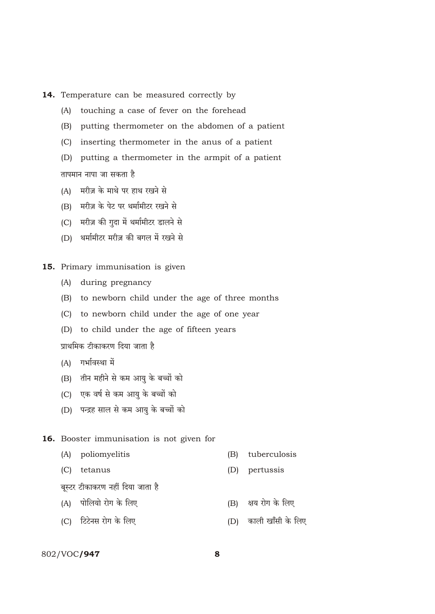## 14. Temperature can be measured correctly by

- (A) touching a case of fever on the forehead
- (B) putting thermometer on the abdomen of a patient
- (C) inserting thermometer in the anus of a patient
- (D) putting a thermometer in the armpit of a patient

तापमान नापा जा सकता है

- (A) मरीज़ के माथे पर हाथ रखने से
- (B) \_ मरीज़ के पेट पर थर्मामीटर रखने से
- (C) मरीज़ की ग़ुदा में थर्मामीटर डालने से
- (D) थर्मामीटर मरीज़ की बगल में रखने से
- 15. Primary immunisation is given
	- (A) during pregnancy
	- (B) to newborn child under the age of three months
	- (C) to newborn child under the age of one year
	- (D) to child under the age of fifteen years

प्राथमिक टीकाकरण दिया जाता है

- $(A)$  गर्भावस्था में
- (B) तीन महीने से कम आयु के बच्चों को
- (C) एक वर्ष से कम आयु के बच्चों को
- (D) पन्द्रह साल से कम आयु के बच्चों को

#### 16. Booster immunisation is not given for

- (A) poliomyelitis (B) tuberculosis
- (C) tetanus (D) pertussis
- 
- बुस्टर टीकाकरण नहीं दिया जाता है
- $(A)$  पोलियो रोग के लिए  $(B)$  क्षय रोग के लिए
- (C) {Q>Q>oZg amoJ Ho\$ {bE (D) H\$mbr Im±gr Ho\$ {bE

### 802/VOC**/947** 8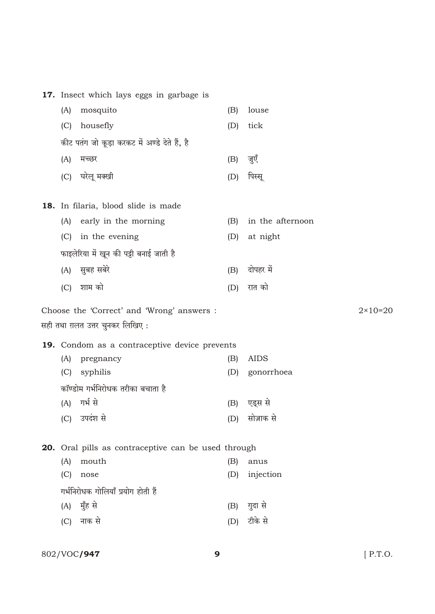|                                               | 17. Insect which lays eggs in garbage is                   |            |                    |                    |
|-----------------------------------------------|------------------------------------------------------------|------------|--------------------|--------------------|
| (A)                                           | mosquito                                                   | (B)        | louse              |                    |
| (C)                                           | housefly                                                   | (D)        | tick               |                    |
| कीट पतंग जो कूड़ा करकट में अण्डे देते हैं, है |                                                            |            |                    |                    |
| (A)                                           | मच्छर                                                      | (B)        | जुएँ               |                    |
|                                               | (C) घरेलू मक्खी                                            | (D)        | पिस्सू             |                    |
|                                               |                                                            |            |                    |                    |
|                                               | <b>18.</b> In filaria, blood slide is made                 |            |                    |                    |
| (A)                                           | early in the morning                                       | (B)        | in the afternoon   |                    |
| (C)                                           | in the evening                                             | (D)        | at night           |                    |
|                                               | फाइलेरिया में खून की पट्टी बनाई जाती है                    |            |                    |                    |
|                                               | (A) सुबह सबेरे                                             | (B)        | दोपहर में          |                    |
| (C)                                           | शाम को                                                     | (D)        | रात को             |                    |
|                                               |                                                            |            |                    |                    |
|                                               |                                                            |            |                    |                    |
|                                               | Choose the 'Correct' and 'Wrong' answers :                 |            |                    | $2 \times 10 = 20$ |
|                                               | सही तथा ग़लत उत्तर चुनकर लिखिए :                           |            |                    |                    |
|                                               | <b>19.</b> Condom as a contraceptive device prevents       |            |                    |                    |
| (A)                                           | pregnancy                                                  | (B)        | <b>AIDS</b>        |                    |
| (C)                                           | syphilis                                                   | (D)        | gonorrhoea         |                    |
|                                               | कॉण्डोम गर्भनिरोधक तरीका बचाता है                          |            |                    |                    |
| (A)                                           | गर्भ से                                                    | (B)        | एड्स से            |                    |
| (C)                                           | उपदंश से                                                   | (D)        | सोज़ाक से          |                    |
|                                               |                                                            |            |                    |                    |
|                                               | <b>20.</b> Oral pills as contraceptive can be used through |            |                    |                    |
| (A)<br>(C)                                    | mouth<br>nose                                              | (B)<br>(D) | anus<br>injection  |                    |
|                                               |                                                            |            |                    |                    |
| (A)                                           | गर्भनिरोधक गोलियाँ प्रयोग होती हैं                         | (B)        |                    |                    |
| (C)                                           | मुँह से<br>नाक से                                          | (D)        | गुदा से<br>टीके से |                    |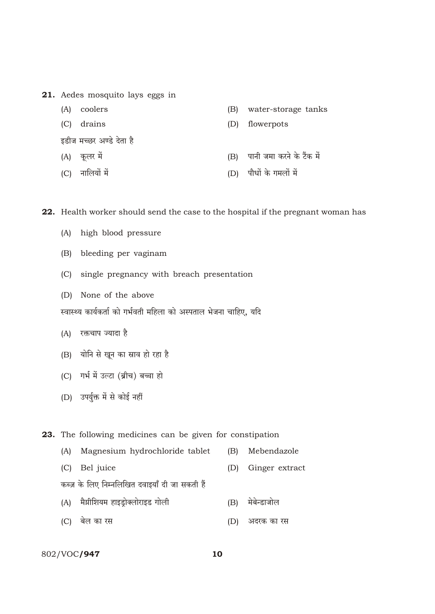21. Aedes mosquito lays eggs in

- (A) coolers
- (C) drains
- इडीज मच्छर अण्डे देता है
- (A) कलर में
- (C) नालियों में
- water-storage tanks  $(B)$
- $(D)$ flowerpots
- (B) पानी जमा करने के टैंक में
- (D) पौधों के गमलों में

22. Health worker should send the case to the hospital if the pregnant woman has

- (A) high blood pressure
- (B) bleeding per vaginam
- (C) single pregnancy with breach presentation
- (D) None of the above

स्वास्थ्य कार्यकर्ता को गर्भवती महिला को अस्पताल भेजना चाहिए, यदि

- (A) रक्तचाप ज्यादा है
- (B) योनि से खून का स्राव हो रहा है
- (C) गर्भ में उल्टा (ब्रीच) बच्चा हो
- (D) उपर्युक्त में से कोई नहीं

23. The following medicines can be given for constipation

- (A) Magnesium hydrochloride tablet (B) Mebendazole
- (C) Bel juice (D) Ginger extract
- कब्ज़ के लिए निम्नलिखित दवाइयाँ दी जा सकती हैं
- (A) मैग्नीशियम हाइड्रोक्लोराइड गोली (B) मेबेन्डाजोल
- (C) बेल का रस (D) अदरक का रस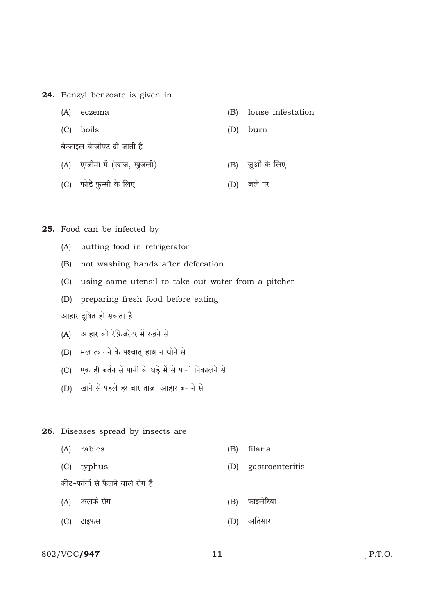24. Benzyl benzoate is given in

| (A) | eczema                         |     | (B) louse infestation |
|-----|--------------------------------|-----|-----------------------|
|     | (C) boils                      | (D) | burn                  |
|     | बेन्ज़ाइल बेन्ज़ोएट दी जाती है |     |                       |
|     | (A) एग्ज़ीमा में (खाज, खूजली)  |     | (B) जुओं के लिए       |

(C) फोड़े फुन्सी के लिए (D) जले पर

25. Food can be infected by

- (A) putting food in refrigerator
- (B) not washing hands after defecation
- (C) using same utensil to take out water from a pitcher
- (D) preparing fresh food before eating

आहार दूषित हो सकता है

- (A) आहार को रेफ्रिजरेटर में रखने से
- (B) मल त्यागने के पश्चात् हाथ न धोने से
- (C) एक ही बर्तन से पानी के घड़े में से पानी निकालने से
- (D) खाने से पहले हर बार ताज़ा आहार बनाने से
- 26. Diseases spread by insects are
	- (A) rabies
	- (C) typhus

(B) filaria

(D) gastroenteritis

- कीट-पतंगों से फैलने वाले रोग हैं
- (A) अलर्क रोग

(B) फाइलेरिया

(D) अतिसार

(C) टाइफस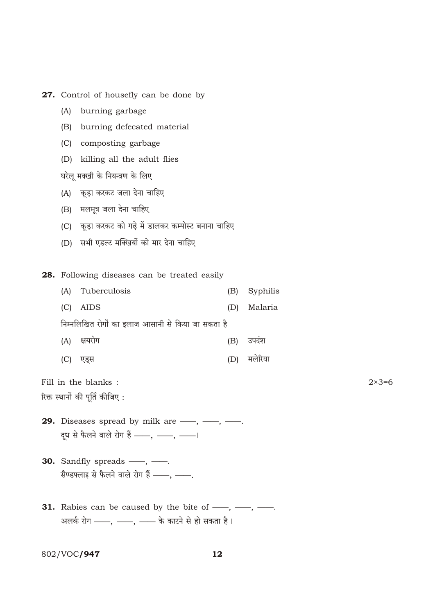27. Control of housefly can be done by (A) burning garbage (B) burning defecated material (C) composting garbage (D) killing all the adult flies घरेलू मक्खी के नियन्त्रण के लिए (A) कूड़ा करकट जला देना चाहिए (B) मलमूत्र जला देना चाहिए (C) कूड़ा करकट को गढ़े में डालकर कम्पोस्ट बनाना चाहिए (D) सभी एडल्ट मक्खियों को मार देना चाहिए 28. Following diseases can be treated easily Tuberculosis Syphilis  $(A)$  $(B)$  $(C)$  AIDS  $(D)$ Malaria निम्नलिखित रोगों का इलाज आसानी से किया जा सकता है (A) क्षयरोग (B) उपदंश (D) मलेरिया (C) एड्स Fill in the blanks:  $2 \times 3 = 6$ रिक्त स्थानों की पूर्ति कीजिए: **29.** Diseases spread by milk are  $\frac{1}{1}, \frac{1}{1}, \frac{1}{1}$ . दूध से फैलने वाले रोग हैं - , -, -, -**30.** Sandfly spreads  $\_\_\_\$ ,  $\_\_\_\_\$ . सैण्डफ्लाइ से फैलने वाले रोग हैं - , -**31.** Rabies can be caused by the bite of  $\frac{1}{1}, \frac{1}{1}, \frac{1}{1}$ .

अलर्क रोग ——, ——, —— के काटने से हो सकता है।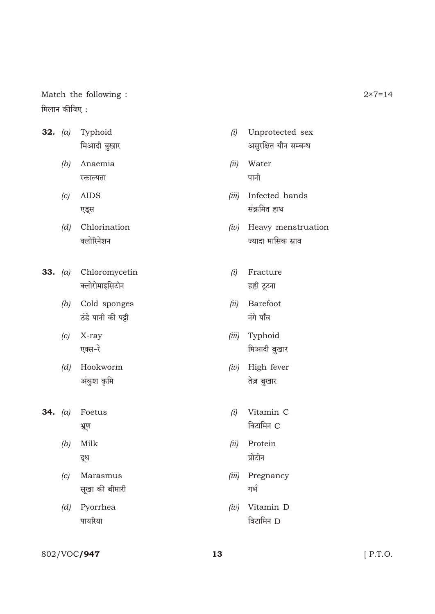Match the following: मिलान कीजिए:

- **32.**  $(a)$ Typhoid मिआदी बुखार
	- (b) Anaemia रक्ताल्पता
	- $(c)$  AIDS एड्स
	- $(d)$  Chlorination क्लोरिनेशन
- 33. (a) Chloromycetin क्लोरोमाइसिटीन
	- (b) Cold sponges ठंडे पानी की पड़ी
	- $(c)$  X-ray एक्स-रे
	- (d) Hookworm अंकुश कृमि
- 34.  $(a)$  Foetus भ्रूण
	- $(b)$ Milk दूध
	- $(c)$  Marasmus सूखा की बीमारी
	- (d) Pyorrhea पायरिया
- (i) Unprotected sex असुरक्षित यौन सम्बन्ध
- Water  $(ii)$ पानी
- (iii) Infected hands संक्रमित हाथ
- $(iv)$  Heavy menstruation ज्यादा मासिक स्नाव
- $(i)$  Fracture हड्डी टूटना
- (ii) Barefoot नंगे पाँव
- (iii) Typhoid मिआदी बुखार
- $(iv)$  High fever तेज़ बुखार
- $(i)$  Vitamin C विटामिन C
- (ii) Protein प्रोटीन
- (iii) Pregnancy गर्भ
- $(iv)$  Vitamin D विटामिन D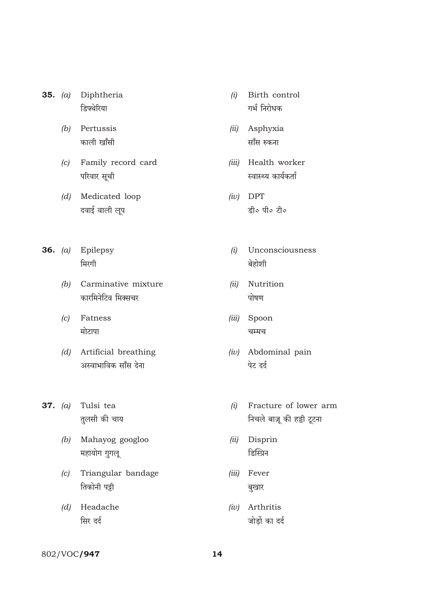- 35. (a) Diphtheria डिफ्थेरिया
	- (b) Pertussis काली खाँसी
	- (c) Family record card परिवार सूची
	- (d) Medicated loop दवाई वाली लूप
- 36.  $(a)$  Epilepsy मिरगी
	- (b) Carminative mixture कारमिनेटिव मिक्सचर
	- $(c)$  Fatness मोटापा
	- (d) Artificial breathing अस्वाभाविक साँस देना
- 37.  $(a)$  Tulsi tea तलसी की चाय
	- (b) Mahayog googloo महायोग गुगलू
	- (c) Triangular bandage तिकोनी पट्टी
	- (d) Headache सिर दर्द
- Birth control  $(i)$ गर्भ निरोधक
- (ii) Asphyxia साँस रुकना
- (iii) Health worker स्वास्थ्य कार्यकर्ता
- $(iv)$  DPT डी० पी० टी०
- Unconsciousness  $(i)$ बेहोशी
- (ii) Nutrition पोषण
- (iii) Spoon चम्मच
- $(iv)$  Abdominal pain पेट दर्द
- Fracture of lower arm  $(i)$ निचले बाज़ू की हड्डी टूटना
- Disprin  $(ii)$ डिस्प्रिन
- (iii) Fever बुखार
- $(iv)$  Arthritis जोड़ों का दर्द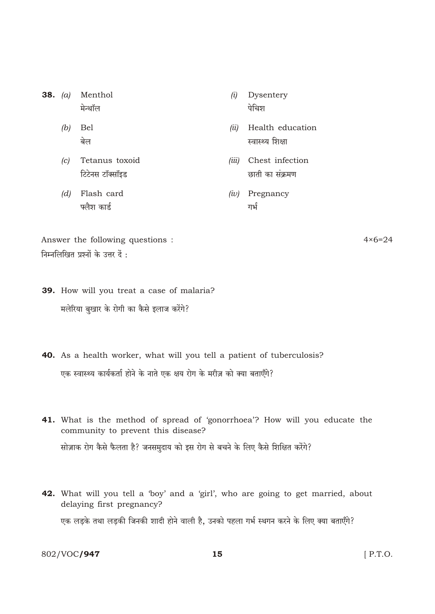- 38.  $(a)$  Menthol मेन्थॉल
	- $(b)$  Bel बेल
	- (c) Tetanus toxoid टिटेनस टॉक्सॉइड
	- $(d)$  Flash card फ्लैश कार्ड
- Dysentery  $(i)$ पेचिश
- (ii) Health education स्वास्थ्य शिक्षा
- (iii) Chest infection छाती का संक्रमण
- $(iv)$  Pregnancy गर्भ

Answer the following questions: निम्नलिखित प्रश्नों के उत्तर दें :

 $4 \times 6 = 24$ 

- **39.** How will you treat a case of malaria? मलेरिया बुखार के रोगी का कैसे इलाज करेंगे?
- 40. As a health worker, what will you tell a patient of tuberculosis? एक स्वास्थ्य कार्यकर्ता होने के नाते एक क्षय रोग के मरीज़ को क्या बताएँगे?
- 41. What is the method of spread of 'gonorrhoea'? How will you educate the community to prevent this disease? सोज़ाक रोग कैसे फैलता है? जनसमुदाय को इस रोग से बचने के लिए कैसे शिक्षित करेंगे?
- 42. What will you tell a 'boy' and a 'girl', who are going to get married, about delaying first pregnancy? एक लड़के तथा लड़की जिनकी शादी होने वाली है, उनको पहला गर्भ स्थगन करने के लिए क्या बताएँगे?